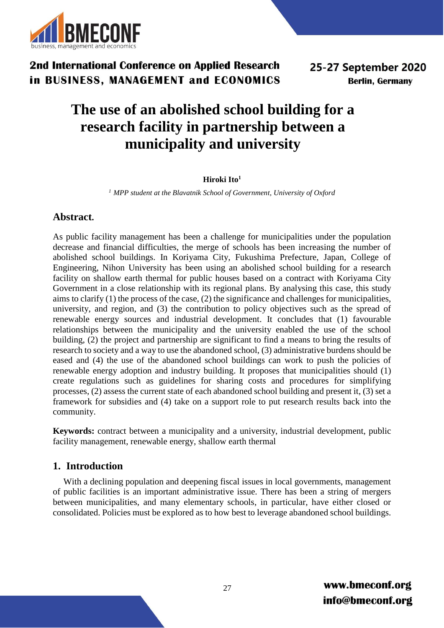

# **The use of an abolished school building for a research facility in partnership between a municipality and university**

### **Hiroki Ito<sup>1</sup>**

*<sup>1</sup> MPP student at the Blavatnik School of Government, University of Oxford*

## **Abstract.**

As public facility management has been a challenge for municipalities under the population decrease and financial difficulties, the merge of schools has been increasing the number of abolished school buildings. In Koriyama City, Fukushima Prefecture, Japan, College of Engineering, Nihon University has been using an abolished school building for a research facility on shallow earth thermal for public houses based on a contract with Koriyama City Government in a close relationship with its regional plans. By analysing this case, this study aims to clarify (1) the process of the case, (2) the significance and challenges for municipalities, university, and region, and (3) the contribution to policy objectives such as the spread of renewable energy sources and industrial development. It concludes that (1) favourable relationships between the municipality and the university enabled the use of the school building, (2) the project and partnership are significant to find a means to bring the results of research to society and a way to use the abandoned school, (3) administrative burdens should be eased and (4) the use of the abandoned school buildings can work to push the policies of renewable energy adoption and industry building. It proposes that municipalities should (1) create regulations such as guidelines for sharing costs and procedures for simplifying processes, (2) assess the current state of each abandoned school building and present it, (3) set a framework for subsidies and (4) take on a support role to put research results back into the community.

**Keywords:** contract between a municipality and a university, industrial development, public facility management, renewable energy, shallow earth thermal

## **1. Introduction**

With a declining population and deepening fiscal issues in local governments, management of public facilities is an important administrative issue. There has been a string of mergers between municipalities, and many elementary schools, in particular, have either closed or consolidated. Policies must be explored as to how best to leverage abandoned school buildings.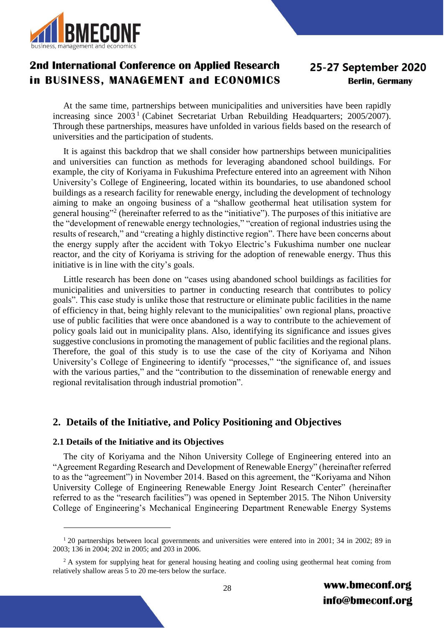

# 25-27 September 2020 **Berlin, Germany**

At the same time, partnerships between municipalities and universities have been rapidly increasing since 2003<sup>1</sup> (Cabinet Secretariat Urban Rebuilding Headquarters; 2005/2007). Through these partnerships, measures have unfolded in various fields based on the research of universities and the participation of students.

It is against this backdrop that we shall consider how partnerships between municipalities and universities can function as methods for leveraging abandoned school buildings. For example, the city of Koriyama in Fukushima Prefecture entered into an agreement with Nihon University's College of Engineering, located within its boundaries, to use abandoned school buildings as a research facility for renewable energy, including the development of technology aiming to make an ongoing business of a "shallow geothermal heat utilisation system for general housing"<sup>2</sup> (hereinafter referred to as the "initiative"). The purposes of this initiative are the "development of renewable energy technologies," "creation of regional industries using the results of research," and "creating a highly distinctive region". There have been concerns about the energy supply after the accident with Tokyo Electric's Fukushima number one nuclear reactor, and the city of Koriyama is striving for the adoption of renewable energy. Thus this initiative is in line with the city's goals.

Little research has been done on "cases using abandoned school buildings as facilities for municipalities and universities to partner in conducting research that contributes to policy goals". This case study is unlike those that restructure or eliminate public facilities in the name of efficiency in that, being highly relevant to the municipalities' own regional plans, proactive use of public facilities that were once abandoned is a way to contribute to the achievement of policy goals laid out in municipality plans. Also, identifying its significance and issues gives suggestive conclusions in promoting the management of public facilities and the regional plans. Therefore, the goal of this study is to use the case of the city of Koriyama and Nihon University's College of Engineering to identify "processes," "the significance of, and issues with the various parties," and the "contribution to the dissemination of renewable energy and regional revitalisation through industrial promotion".

## **2. Details of the Initiative, and Policy Positioning and Objectives**

### **2.1 Details of the Initiative and its Objectives**

<u>.</u>

The city of Koriyama and the Nihon University College of Engineering entered into an "Agreement Regarding Research and Development of Renewable Energy" (hereinafter referred to as the "agreement") in November 2014. Based on this agreement, the "Koriyama and Nihon University College of Engineering Renewable Energy Joint Research Center" (hereinafter referred to as the "research facilities") was opened in September 2015. The Nihon University College of Engineering's Mechanical Engineering Department Renewable Energy Systems

<sup>&</sup>lt;sup>1</sup> 20 partnerships between local governments and universities were entered into in 2001; 34 in 2002; 89 in 2003; 136 in 2004; 202 in 2005; and 203 in 2006.

<sup>&</sup>lt;sup>2</sup> A system for supplying heat for general housing heating and cooling using geothermal heat coming from relatively shallow areas 5 to 20 me-ters below the surface.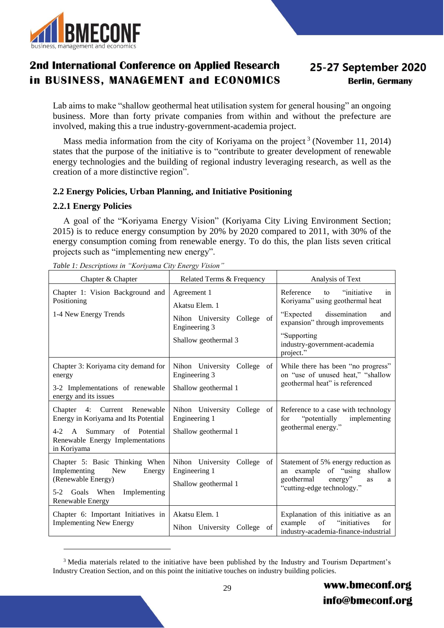

# 25-27 September 2020 **Berlin, Germany**

Lab aims to make "shallow geothermal heat utilisation system for general housing" an ongoing business. More than forty private companies from within and without the prefecture are involved, making this a true industry-government-academia project.

Mass media information from the city of Koriyama on the project<sup>3</sup> (November 11, 2014) states that the purpose of the initiative is to "contribute to greater development of renewable energy technologies and the building of regional industry leveraging research, as well as the creation of a more distinctive region".

### **2.2 Energy Policies, Urban Planning, and Initiative Positioning**

### **2.2.1 Energy Policies**

<u>.</u>

A goal of the "Koriyama Energy Vision" (Koriyama City Living Environment Section; 2015) is to reduce energy consumption by 20% by 2020 compared to 2011, with 30% of the energy consumption coming from renewable energy. To do this, the plan lists seven critical projects such as "implementing new energy".

| Chapter & Chapter                                                                                                                                                      | Related Terms & Frequency                                                                                | Analysis of Text                                                                                                                                                                                              |
|------------------------------------------------------------------------------------------------------------------------------------------------------------------------|----------------------------------------------------------------------------------------------------------|---------------------------------------------------------------------------------------------------------------------------------------------------------------------------------------------------------------|
| Chapter 1: Vision Background and<br>Positioning<br>1-4 New Energy Trends                                                                                               | Agreement 1<br>Akatsu Elem. 1<br>Nihon University College<br>of<br>Engineering 3<br>Shallow geothermal 3 | Reference<br>"initiative"<br>to<br>in<br>Koriyama" using geothermal heat<br>dissemination<br>"Expected"<br>and<br>expansion" through improvements<br>"Supporting<br>industry-government-academia<br>project." |
| Chapter 3: Koriyama city demand for<br>energy<br>3-2 Implementations of renewable<br>energy and its issues                                                             | Nihon University<br>College<br>of<br>Engineering 3<br>Shallow geothermal 1                               | While there has been "no progress"<br>on "use of unused heat," "shallow<br>geothermal heat" is referenced                                                                                                     |
| Chapter 4: Current Renewable<br>Energy in Koriyama and Its Potential<br>Summary of Potential<br>4-2<br>$\mathbf{A}$<br>Renewable Energy Implementations<br>in Koriyama | Nihon University College<br>of<br>Engineering 1<br>Shallow geothermal 1                                  | Reference to a case with technology<br>"potentially<br>implementing<br>for<br>geothermal energy."                                                                                                             |
| Chapter 5: Basic Thinking When<br>Implementing<br><b>New</b><br>Energy<br>(Renewable Energy)<br>$5-2$<br>Goals When<br>Implementing<br>Renewable Energy                | Nihon University College<br>of<br>Engineering 1<br>Shallow geothermal 1                                  | Statement of 5% energy reduction as<br>an example of "using<br>shallow<br>geothermal<br>energy"<br>as<br>a<br>"cutting-edge technology."                                                                      |
| Chapter 6: Important Initiatives in<br><b>Implementing New Energy</b>                                                                                                  | Akatsu Elem. 1<br>Nihon University College of                                                            | Explanation of this initiative as an<br>example<br>"initiatives"<br>of<br>for<br>industry-academia-finance-industrial                                                                                         |

*Table 1: Descriptions in "Koriyama City Energy Vision"*

<sup>&</sup>lt;sup>3</sup> Media materials related to the initiative have been published by the Industry and Tourism Department's Industry Creation Section, and on this point the initiative touches on industry building policies.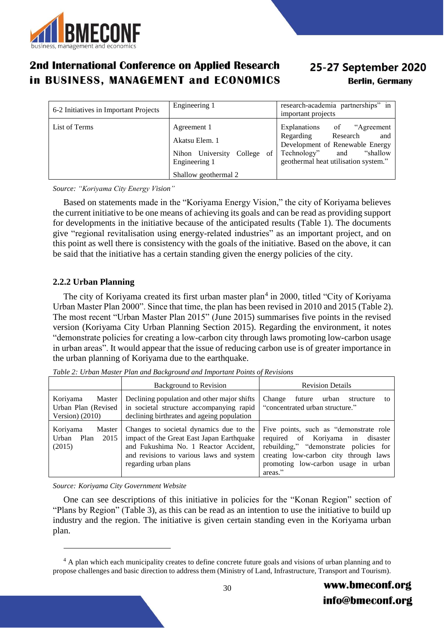

# 25-27 September 2020 **Berlin, Germany**

| 6-2 Initiatives in Important Projects | Engineering 1                                                                                               | research-academia partnerships" in<br>important projects                                                                                                              |
|---------------------------------------|-------------------------------------------------------------------------------------------------------------|-----------------------------------------------------------------------------------------------------------------------------------------------------------------------|
| List of Terms                         | Agreement 1<br>Akatsu Elem. 1<br>Nihon University<br>College<br>of<br>Engineering 1<br>Shallow geothermal 2 | Explanations of "Agreement"<br>Research<br>Regarding<br>and<br>Development of Renewable Energy<br>"shallow<br>Technology" and<br>geothermal heat utilisation system." |

*Source: "Koriyama City Energy Vision"*

Based on statements made in the "Koriyama Energy Vision," the city of Koriyama believes the current initiative to be one means of achieving its goals and can be read as providing support for developments in the initiative because of the anticipated results (Table 1). The documents give "regional revitalisation using energy-related industries" as an important project, and on this point as well there is consistency with the goals of the initiative. Based on the above, it can be said that the initiative has a certain standing given the energy policies of the city.

### **2.2.2 Urban Planning**

The city of Koriyama created its first urban master plan<sup>4</sup> in 2000, titled "City of Koriyama Urban Master Plan 2000". Since that time, the plan has been revised in 2010 and 2015 (Table 2). The most recent "Urban Master Plan 2015" (June 2015) summarises five points in the revised version (Koriyama City Urban Planning Section 2015). Regarding the environment, it notes "demonstrate policies for creating a low-carbon city through laws promoting low-carbon usage in urban areas". It would appear that the issue of reducing carbon use is of greater importance in the urban planning of Koriyama due to the earthquake.

|                                                                 | <b>Background to Revision</b>                                                                                                                                                                      | <b>Revision Details</b>                                                                                                                                                                                          |  |
|-----------------------------------------------------------------|----------------------------------------------------------------------------------------------------------------------------------------------------------------------------------------------------|------------------------------------------------------------------------------------------------------------------------------------------------------------------------------------------------------------------|--|
| Koriyama<br>Master<br>Urban Plan (Revised  <br>Version $(2010)$ | Declining population and other major shifts<br>in societal structure accompanying rapid<br>declining birthrates and ageing population                                                              | Change<br>future<br>urban<br>structure<br>to<br>"concentrated urban structure."                                                                                                                                  |  |
| Koriyama<br>Master<br>Urban<br>2015<br>Plan<br>(2015)           | Changes to societal dynamics due to the<br>impact of the Great East Japan Earthquake<br>and Fukushima No. 1 Reactor Accident,<br>and revisions to various laws and system<br>regarding urban plans | Five points, such as "demonstrate role"<br>required of Koriyama in disaster<br>rebuilding," "demonstrate policies for<br>creating low-carbon city through laws<br>promoting low-carbon usage in urban<br>areas." |  |

*Table 2: Urban Master Plan and Background and Important Points of Revisions*

*Source: Koriyama City Government Website*

<u>.</u>

One can see descriptions of this initiative in policies for the "Konan Region" section of "Plans by Region" (Table 3), as this can be read as an intention to use the initiative to build up industry and the region. The initiative is given certain standing even in the Koriyama urban plan.

<sup>&</sup>lt;sup>4</sup> A plan which each municipality creates to define concrete future goals and visions of urban planning and to propose challenges and basic direction to address them (Ministry of Land, Infrastructure, Transport and Tourism).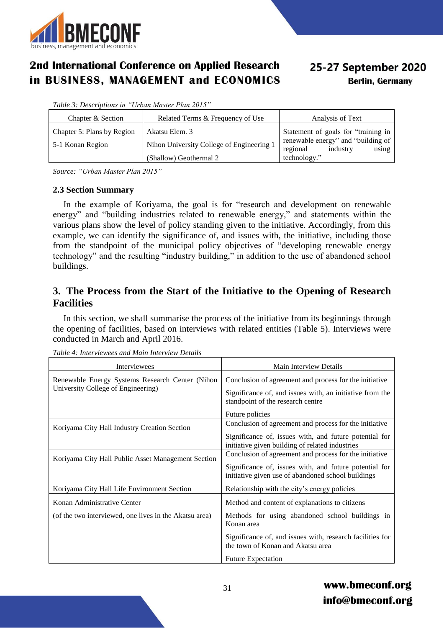

# 25-27 September 2020 **Berlin, Germany**

*Table 3: Descriptions in "Urban Master Plan 2015"*

| Chapter & Section          | Related Terms & Frequency of Use          | Analysis of Text                                                    |
|----------------------------|-------------------------------------------|---------------------------------------------------------------------|
| Chapter 5: Plans by Region | Akatsu Elem. 3                            | Statement of goals for "training in                                 |
| 5-1 Konan Region           | Nihon University College of Engineering 1 | renewable energy" and "building of<br>using<br>industry<br>regional |
|                            | (Shallow) Geothermal 2                    | technology."                                                        |

*Source: "Urban Master Plan 2015"*

### **2.3 Section Summary**

In the example of Koriyama, the goal is for "research and development on renewable energy" and "building industries related to renewable energy," and statements within the various plans show the level of policy standing given to the initiative. Accordingly, from this example, we can identify the significance of, and issues with, the initiative, including those from the standpoint of the municipal policy objectives of "developing renewable energy technology" and the resulting "industry building," in addition to the use of abandoned school buildings.

## **3. The Process from the Start of the Initiative to the Opening of Research Facilities**

In this section, we shall summarise the process of the initiative from its beginnings through the opening of facilities, based on interviews with related entities (Table 5). Interviews were conducted in March and April 2016.

| Interviewees                                                                          | Main Interview Details                                                                         |
|---------------------------------------------------------------------------------------|------------------------------------------------------------------------------------------------|
| Renewable Energy Systems Research Center (Nihon<br>University College of Engineering) | Conclusion of agreement and process for the initiative                                         |
|                                                                                       | Significance of, and issues with, an initiative from the<br>standpoint of the research centre  |
|                                                                                       | Future policies                                                                                |
| Koriyama City Hall Industry Creation Section                                          | Conclusion of agreement and process for the initiative                                         |
|                                                                                       | Significance of, issues with, and future potential for                                         |
|                                                                                       | initiative given building of related industries                                                |
| Koriyama City Hall Public Asset Management Section                                    | Conclusion of agreement and process for the initiative                                         |
|                                                                                       | Significance of, issues with, and future potential for                                         |
|                                                                                       | initiative given use of abandoned school buildings                                             |
| Koriyama City Hall Life Environment Section                                           | Relationship with the city's energy policies                                                   |
| Konan Administrative Center                                                           | Method and content of explanations to citizens                                                 |
| (of the two interviewed, one lives in the Akatsu area)                                | Methods for using abandoned school buildings in<br>Konan area                                  |
|                                                                                       | Significance of, and issues with, research facilities for<br>the town of Konan and Akatsu area |
|                                                                                       | <b>Future Expectation</b>                                                                      |

*Table 4: Interviewees and Main Interview Details*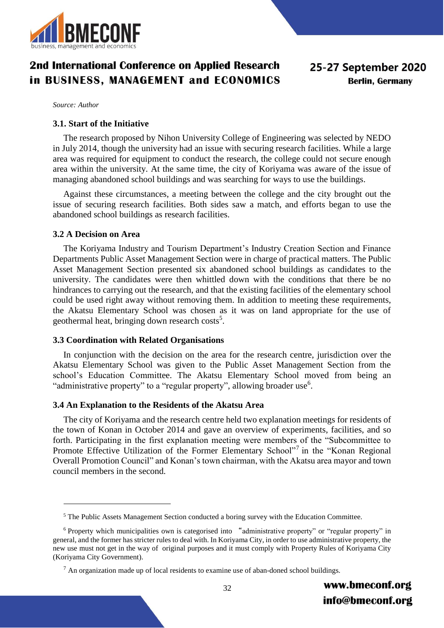

*Source: Author*

#### **3.1. Start of the Initiative**

The research proposed by Nihon University College of Engineering was selected by NEDO in July 2014, though the university had an issue with securing research facilities. While a large area was required for equipment to conduct the research, the college could not secure enough area within the university. At the same time, the city of Koriyama was aware of the issue of managing abandoned school buildings and was searching for ways to use the buildings.

Against these circumstances, a meeting between the college and the city brought out the issue of securing research facilities. Both sides saw a match, and efforts began to use the abandoned school buildings as research facilities.

#### **3.2 A Decision on Area**

<u>.</u>

The Koriyama Industry and Tourism Department's Industry Creation Section and Finance Departments Public Asset Management Section were in charge of practical matters. The Public Asset Management Section presented six abandoned school buildings as candidates to the university. The candidates were then whittled down with the conditions that there be no hindrances to carrying out the research, and that the existing facilities of the elementary school could be used right away without removing them. In addition to meeting these requirements, the Akatsu Elementary School was chosen as it was on land appropriate for the use of geothermal heat, bringing down research costs<sup>5</sup>.

#### **3.3 Coordination with Related Organisations**

In conjunction with the decision on the area for the research centre, jurisdiction over the Akatsu Elementary School was given to the Public Asset Management Section from the school's Education Committee. The Akatsu Elementary School moved from being an "administrative property" to a "regular property", allowing broader use<sup>6</sup>.

#### **3.4 An Explanation to the Residents of the Akatsu Area**

The city of Koriyama and the research centre held two explanation meetings for residents of the town of Konan in October 2014 and gave an overview of experiments, facilities, and so forth. Participating in the first explanation meeting were members of the "Subcommittee to Promote Effective Utilization of the Former Elementary School"<sup>7</sup> in the "Konan Regional Overall Promotion Council" and Konan's town chairman, with the Akatsu area mayor and town council members in the second.

<sup>&</sup>lt;sup>5</sup> The Public Assets Management Section conducted a boring survey with the Education Committee.

<sup>&</sup>lt;sup>6</sup> Property which municipalities own is categorised into "administrative property" or "regular property" in general, and the former has stricter rules to deal with. In Koriyama City, in order to use administrative property, the new use must not get in the way of original purposes and it must comply with Property Rules of Koriyama City (Koriyama City Government).

 $<sup>7</sup>$  An organization made up of local residents to examine use of aban-doned school buildings.</sup>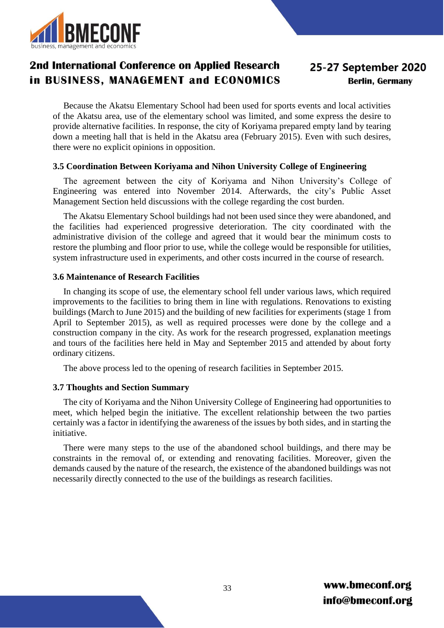

# 25-27 September 2020 **Berlin, Germany**

Because the Akatsu Elementary School had been used for sports events and local activities of the Akatsu area, use of the elementary school was limited, and some express the desire to provide alternative facilities. In response, the city of Koriyama prepared empty land by tearing down a meeting hall that is held in the Akatsu area (February 2015). Even with such desires, there were no explicit opinions in opposition.

### **3.5 Coordination Between Koriyama and Nihon University College of Engineering**

The agreement between the city of Koriyama and Nihon University's College of Engineering was entered into November 2014. Afterwards, the city's Public Asset Management Section held discussions with the college regarding the cost burden.

The Akatsu Elementary School buildings had not been used since they were abandoned, and the facilities had experienced progressive deterioration. The city coordinated with the administrative division of the college and agreed that it would bear the minimum costs to restore the plumbing and floor prior to use, while the college would be responsible for utilities, system infrastructure used in experiments, and other costs incurred in the course of research.

### **3.6 Maintenance of Research Facilities**

In changing its scope of use, the elementary school fell under various laws, which required improvements to the facilities to bring them in line with regulations. Renovations to existing buildings (March to June 2015) and the building of new facilities for experiments (stage 1 from April to September 2015), as well as required processes were done by the college and a construction company in the city. As work for the research progressed, explanation meetings and tours of the facilities here held in May and September 2015 and attended by about forty ordinary citizens.

The above process led to the opening of research facilities in September 2015.

#### **3.7 Thoughts and Section Summary**

The city of Koriyama and the Nihon University College of Engineering had opportunities to meet, which helped begin the initiative. The excellent relationship between the two parties certainly was a factor in identifying the awareness of the issues by both sides, and in starting the initiative.

There were many steps to the use of the abandoned school buildings, and there may be constraints in the removal of, or extending and renovating facilities. Moreover, given the demands caused by the nature of the research, the existence of the abandoned buildings was not necessarily directly connected to the use of the buildings as research facilities.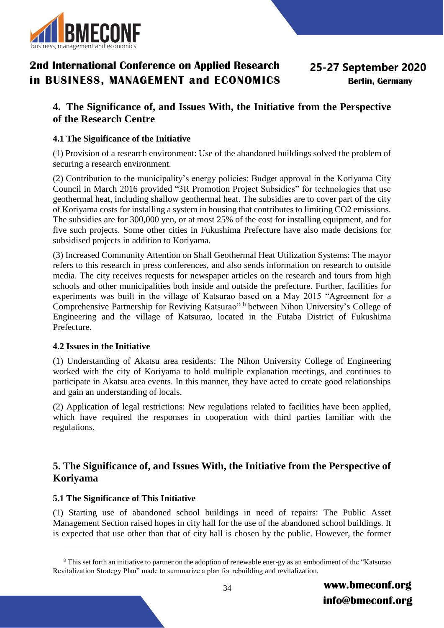

## **4. The Significance of, and Issues With, the Initiative from the Perspective of the Research Centre**

### **4.1 The Significance of the Initiative**

(1) Provision of a research environment: Use of the abandoned buildings solved the problem of securing a research environment.

(2) Contribution to the municipality's energy policies: Budget approval in the Koriyama City Council in March 2016 provided "3R Promotion Project Subsidies" for technologies that use geothermal heat, including shallow geothermal heat. The subsidies are to cover part of the city of Koriyama costs for installing a system in housing that contributes to limiting CO2 emissions. The subsidies are for 300,000 yen, or at most 25% of the cost for installing equipment, and for five such projects. Some other cities in Fukushima Prefecture have also made decisions for subsidised projects in addition to Koriyama.

(3) Increased Community Attention on Shall Geothermal Heat Utilization Systems: The mayor refers to this research in press conferences, and also sends information on research to outside media. The city receives requests for newspaper articles on the research and tours from high schools and other municipalities both inside and outside the prefecture. Further, facilities for experiments was built in the village of Katsurao based on a May 2015 "Agreement for a Comprehensive Partnership for Reviving Katsurao" <sup>8</sup> between Nihon University's College of Engineering and the village of Katsurao, located in the Futaba District of Fukushima Prefecture.

### **4.2 Issues in the Initiative**

(1) Understanding of Akatsu area residents: The Nihon University College of Engineering worked with the city of Koriyama to hold multiple explanation meetings, and continues to participate in Akatsu area events. In this manner, they have acted to create good relationships and gain an understanding of locals.

(2) Application of legal restrictions: New regulations related to facilities have been applied, which have required the responses in cooperation with third parties familiar with the regulations.

## **5. The Significance of, and Issues With, the Initiative from the Perspective of Koriyama**

### **5.1 The Significance of This Initiative**

<u>.</u>

(1) Starting use of abandoned school buildings in need of repairs: The Public Asset Management Section raised hopes in city hall for the use of the abandoned school buildings. It is expected that use other than that of city hall is chosen by the public. However, the former

<sup>&</sup>lt;sup>8</sup> This set forth an initiative to partner on the adoption of renewable ener-gy as an embodiment of the "Katsurao Revitalization Strategy Plan" made to summarize a plan for rebuilding and revitalization.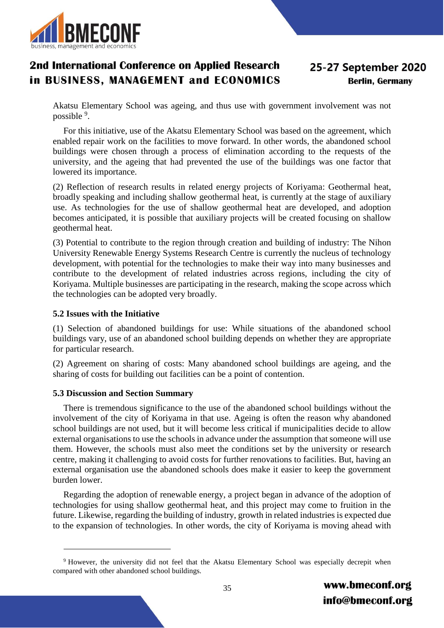

# 25-27 September 2020 **Berlin, Germany**

Akatsu Elementary School was ageing, and thus use with government involvement was not possible <sup>9</sup>.

For this initiative, use of the Akatsu Elementary School was based on the agreement, which enabled repair work on the facilities to move forward. In other words, the abandoned school buildings were chosen through a process of elimination according to the requests of the university, and the ageing that had prevented the use of the buildings was one factor that lowered its importance.

(2) Reflection of research results in related energy projects of Koriyama: Geothermal heat, broadly speaking and including shallow geothermal heat, is currently at the stage of auxiliary use. As technologies for the use of shallow geothermal heat are developed, and adoption becomes anticipated, it is possible that auxiliary projects will be created focusing on shallow geothermal heat.

(3) Potential to contribute to the region through creation and building of industry: The Nihon University Renewable Energy Systems Research Centre is currently the nucleus of technology development, with potential for the technologies to make their way into many businesses and contribute to the development of related industries across regions, including the city of Koriyama. Multiple businesses are participating in the research, making the scope across which the technologies can be adopted very broadly.

### **5.2 Issues with the Initiative**

<u>.</u>

(1) Selection of abandoned buildings for use: While situations of the abandoned school buildings vary, use of an abandoned school building depends on whether they are appropriate for particular research.

(2) Agreement on sharing of costs: Many abandoned school buildings are ageing, and the sharing of costs for building out facilities can be a point of contention.

### **5.3 Discussion and Section Summary**

There is tremendous significance to the use of the abandoned school buildings without the involvement of the city of Koriyama in that use. Ageing is often the reason why abandoned school buildings are not used, but it will become less critical if municipalities decide to allow external organisations to use the schools in advance under the assumption that someone will use them. However, the schools must also meet the conditions set by the university or research centre, making it challenging to avoid costs for further renovations to facilities. But, having an external organisation use the abandoned schools does make it easier to keep the government burden lower.

Regarding the adoption of renewable energy, a project began in advance of the adoption of technologies for using shallow geothermal heat, and this project may come to fruition in the future. Likewise, regarding the building of industry, growth in related industries is expected due to the expansion of technologies. In other words, the city of Koriyama is moving ahead with

<sup>9</sup> However, the university did not feel that the Akatsu Elementary School was especially decrepit when compared with other abandoned school buildings.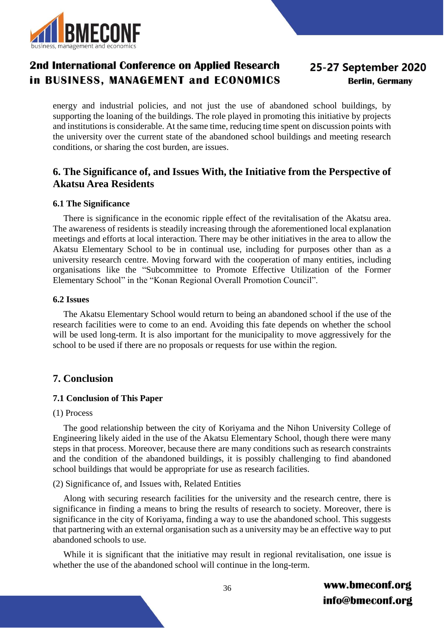

# 25-27 September 2020 **Berlin, Germany**

energy and industrial policies, and not just the use of abandoned school buildings, by supporting the loaning of the buildings. The role played in promoting this initiative by projects and institutions is considerable. At the same time, reducing time spent on discussion points with the university over the current state of the abandoned school buildings and meeting research conditions, or sharing the cost burden, are issues.

## **6. The Significance of, and Issues With, the Initiative from the Perspective of Akatsu Area Residents**

### **6.1 The Significance**

There is significance in the economic ripple effect of the revitalisation of the Akatsu area. The awareness of residents is steadily increasing through the aforementioned local explanation meetings and efforts at local interaction. There may be other initiatives in the area to allow the Akatsu Elementary School to be in continual use, including for purposes other than as a university research centre. Moving forward with the cooperation of many entities, including organisations like the "Subcommittee to Promote Effective Utilization of the Former Elementary School" in the "Konan Regional Overall Promotion Council".

### **6.2 Issues**

The Akatsu Elementary School would return to being an abandoned school if the use of the research facilities were to come to an end. Avoiding this fate depends on whether the school will be used long-term. It is also important for the municipality to move aggressively for the school to be used if there are no proposals or requests for use within the region.

## **7. Conclusion**

### **7.1 Conclusion of This Paper**

### (1) Process

The good relationship between the city of Koriyama and the Nihon University College of Engineering likely aided in the use of the Akatsu Elementary School, though there were many steps in that process. Moreover, because there are many conditions such as research constraints and the condition of the abandoned buildings, it is possibly challenging to find abandoned school buildings that would be appropriate for use as research facilities.

### (2) Significance of, and Issues with, Related Entities

Along with securing research facilities for the university and the research centre, there is significance in finding a means to bring the results of research to society. Moreover, there is significance in the city of Koriyama, finding a way to use the abandoned school. This suggests that partnering with an external organisation such as a university may be an effective way to put abandoned schools to use.

While it is significant that the initiative may result in regional revitalisation, one issue is whether the use of the abandoned school will continue in the long-term.